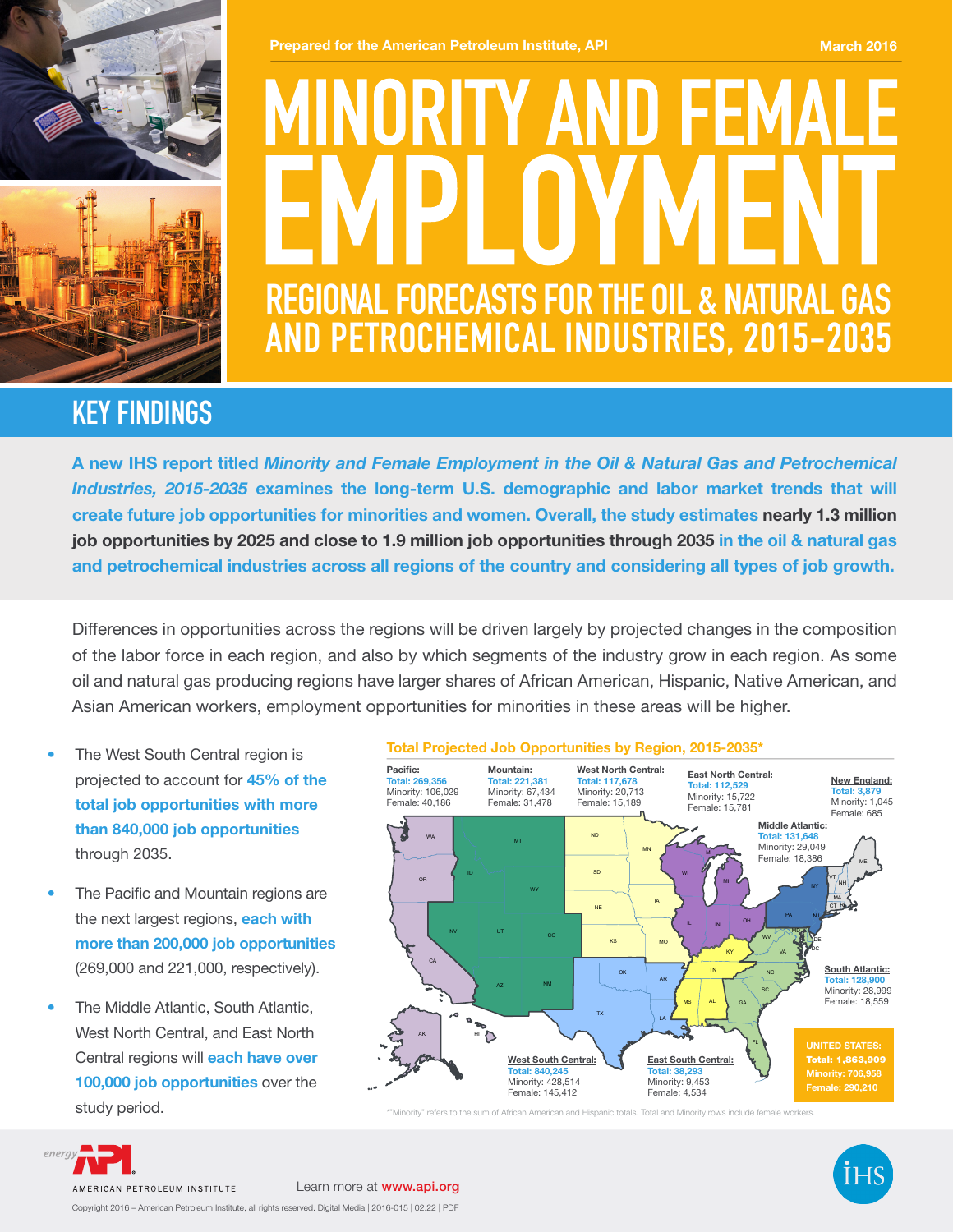



#### **Prepared for the American Petroleum Institute, API March 2016** March 2016

# MINORITY AND FEMA **REGIONAL FORECASTS FOR THE OIL & NATURAL GAS AND PETROCHEMICAL INDUSTRIES, 2015-2035**

## **KEY FINDINGS**

A new IHS report titled *Minority and Female Employment in the Oil & Natural Gas and Petrochemical Industries, 2015-2035* examines the long-term U.S. demographic and labor market trends that will create future job opportunities for minorities and women. Overall, the study estimates nearly 1.3 million job opportunities by 2025 and close to 1.9 million job opportunities through 2035 in the oil & natural gas and petrochemical industries across all regions of the country and considering all types of job growth.

Differences in opportunities across the regions will be driven largely by projected changes in the composition of the labor force in each region, and also by which segments of the industry grow in each region. As some oil and natural gas producing regions have larger shares of African American, Hispanic, Native American, and Asian American workers, employment opportunities for minorities in these areas will be higher.

- The West South Central region is projected to account for 45% of the total job opportunities with more than 840,000 job opportunities through 2035.
- The Pacific and Mountain regions are the next largest regions, each with more than 200,000 job opportunities (269,000 and 221,000, respectively).
- The Middle Atlantic, South Atlantic, West North Central, and East North Central regions will **each have over** 100,000 job opportunities over the study period.

#### Total Projected Job Opportunities by Region, 2015-2035\*



\*"Minority" refers to the sum of African American and Hispanic totals. Total and Minority rows include female workers.



energ

Copyright 2016 – American Petroleum Institute, all rights reserved. Digital Media | 2016-015 | 02.22 | PDF